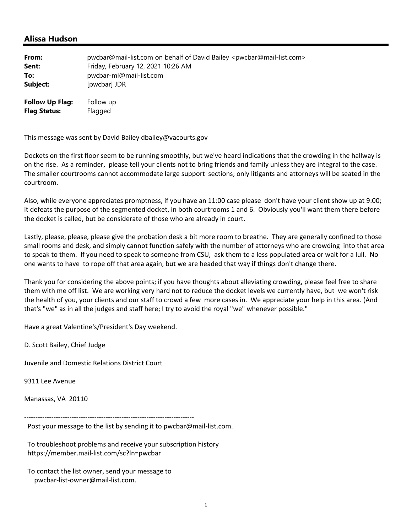## **Alissa Hudson**

| From:                                         | pwcbar@mail-list.com on behalf of David Bailey <pwcbar@mail-list.com></pwcbar@mail-list.com> |
|-----------------------------------------------|----------------------------------------------------------------------------------------------|
| Sent:                                         | Friday, February 12, 2021 10:26 AM                                                           |
| To:                                           | pwcbar-ml@mail-list.com                                                                      |
| Subject:                                      | [pwcbar] JDR                                                                                 |
| <b>Follow Up Flag:</b><br><b>Flag Status:</b> | Follow up<br>Flagged                                                                         |

This message was sent by David Bailey dbailey@vacourts.gov

Dockets on the first floor seem to be running smoothly, but we've heard indications that the crowding in the hallway is on the rise. As a reminder, please tell your clients not to bring friends and family unless they are integral to the case. The smaller courtrooms cannot accommodate large support sections; only litigants and attorneys will be seated in the courtroom.

Also, while everyone appreciates promptness, if you have an 11:00 case please don't have your client show up at 9:00; it defeats the purpose of the segmented docket, in both courtrooms 1 and 6. Obviously you'll want them there before the docket is called, but be considerate of those who are already in court.

Lastly, please, please, please give the probation desk a bit more room to breathe. They are generally confined to those small rooms and desk, and simply cannot function safely with the number of attorneys who are crowding into that area to speak to them. If you need to speak to someone from CSU, ask them to a less populated area or wait for a lull. No one wants to have to rope off that area again, but we are headed that way if things don't change there.

Thank you for considering the above points; if you have thoughts about alleviating crowding, please feel free to share them with me off list. We are working very hard not to reduce the docket levels we currently have, but we won't risk the health of you, your clients and our staff to crowd a few more cases in. We appreciate your help in this area. (And that's "we" as in all the judges and staff here; I try to avoid the royal "we" whenever possible."

Have a great Valentine's/President's Day weekend.

D. Scott Bailey, Chief Judge

Juvenile and Domestic Relations District Court

9311 Lee Avenue

Manassas, VA 20110

‐‐‐‐‐‐‐‐‐‐‐‐‐‐‐‐‐‐‐‐‐‐‐‐‐‐‐‐‐‐‐‐‐‐‐‐‐‐‐‐‐‐‐‐‐‐‐‐‐‐‐‐‐‐‐‐‐‐‐‐‐‐‐‐‐‐‐‐‐‐‐‐‐‐‐

Post your message to the list by sending it to pwcbar@mail‐list.com.

 To troubleshoot problems and receive your subscription history https://member.mail‐list.com/sc?ln=pwcbar

 To contact the list owner, send your message to pwcbar‐list‐owner@mail‐list.com.